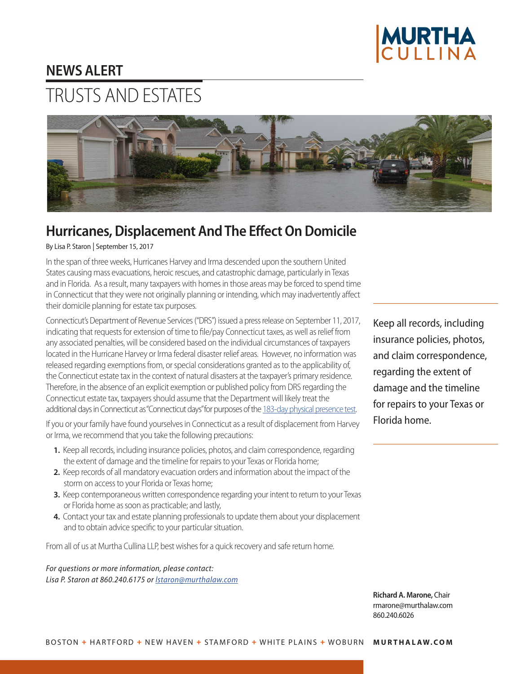

## **NEWS ALERT**

## TRUSTS AND ESTATES



## **Hurricanes, Displacement And The Effect On Domicile**

By Lisa P. Staron | September 15, 2017

In the span of three weeks, Hurricanes Harvey and Irma descended upon the southern United States causing mass evacuations, heroic rescues, and catastrophic damage, particularly in Texas and in Florida. As a result, many taxpayers with homes in those areas may be forced to spend time in Connecticut that they were not originally planning or intending, which may inadvertently affect their domicile planning for estate tax purposes.

Connecticut's Department of Revenue Services ("DRS") issued a press release on September 11, 2017, indicating that requests for extension of time to file/pay Connecticut taxes, as well as relief from any associated penalties, will be considered based on the individual circumstances of taxpayers located in the Hurricane Harvey or Irma federal disaster relief areas. However, no information was released regarding exemptions from, or special considerations granted as to the applicability of, the Connecticut estate tax in the context of natural disasters at the taxpayer's primary residence. Therefore, in the absence of an explicit exemption or published policy from DRS regarding the Connecticut estate tax, taxpayers should assume that the Department will likely treat the additional days in Connecticut as "Connecticut days" for purposes of the [183-day physical presence test.](https://www.murthalaw.com/news_alerts/2173-january---trusts-estates-group-news-home-where-you-hang-your-hat)

If you or your family have found yourselves in Connecticut as a result of displacement from Harvey or Irma, we recommend that you take the following precautions:

- **1.** Keep all records, including insurance policies, photos, and claim correspondence, regarding the extent of damage and the timeline for repairs to your Texas or Florida home;
- **2.** Keep records of all mandatory evacuation orders and information about the impact of the storm on access to your Florida or Texas home;
- **3.** Keep contemporaneous written correspondence regarding your intent to return to your Texas or Florida home as soon as practicable; and lastly,
- **4.** Contact your tax and estate planning professionals to update them about your displacement and to obtain advice specific to your particular situation.

From all of us at Murtha Cullina LLP, best wishes for a quick recovery and safe return home.

*For questions or more information, please contact: Lisa P. Staron at 860.240.6175 or [lstaron@murthalaw.com](mailto:lstaron%40murthalaw.com?subject=)* Keep all records, including insurance policies, photos, and claim correspondence, regarding the extent of damage and the timeline for repairs to your Texas or Florida home.

**Richard A. Marone,** Chair rmaron[e@murthalaw.com](mailto:rmarone%40murthalaw.com?subject=) 860.240.6026